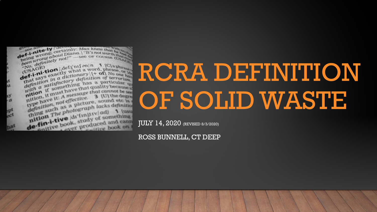

# RCRA DEFINITION OF SOLID WASTE

JULY 14, 2020 (REVISED 8/3/2020)

ROSS BUNNELL, CT DEEP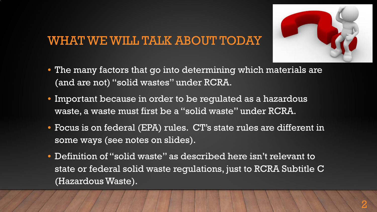#### WHAT WE WILL TALK ABOUT TODAY



- The many factors that go into determining which materials are (and are not) "solid wastes" under RCRA.
- Important because in order to be regulated as a hazardous waste, a waste must first be a "solid waste" under RCRA.
- Focus is on federal (EPA) rules. CT's state rules are different in some ways (see notes on slides).
- Definition of "solid waste" as described here isn't relevant to state or federal solid waste regulations, just to RCRA Subtitle C (Hazardous Waste).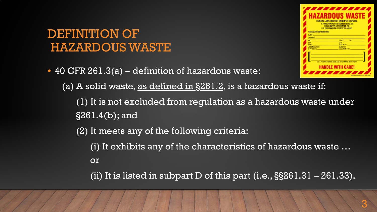#### DEFINITION OF HAZARDOUS WASTE

• 40 CFR 261.3(a) – definition of hazardous waste:



(a) A solid waste, <u>as defined in  $\S261.2$ ,</u> is a hazardous waste if:

(1) It is not excluded from regulation as a hazardous waste under §261.4(b); and

(2) It meets any of the following criteria:

(i) It exhibits any of the characteristics of hazardous waste …

or

(ii) It is listed in subpart D of this part  $(i.e., §§261.31 - 261.33)$ .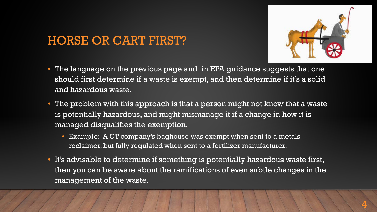#### HORSE OR CART FIRST?



- The language on the previous page and in EPA guidance suggests that one should first determine if a waste is exempt, and then determine if it's a solid and hazardous waste.
- The problem with this approach is that a person might not know that a waste is potentially hazardous, and might mismanage it if a change in how it is managed disqualifies the exemption.
	- Example: A CT company's baghouse was exempt when sent to a metals reclaimer, but fully regulated when sent to a fertilizer manufacturer.
- It's advisable to determine if something is potentially hazardous waste first, then you can be aware about the ramifications of even subtle changes in the management of the waste.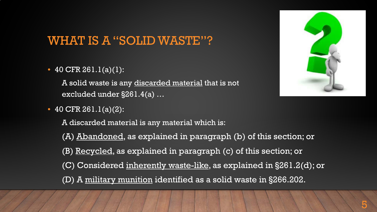#### WHAT IS A "SOLID WASTE"?

• 40 CFR  $261.1(a)(1)$ :

A solid waste is any discarded material that is not excluded under §261.4(a) …

• 40 CFR 261.1(a)(2):

A discarded material is any material which is:

- (A) Abandoned, as explained in paragraph (b) of this section; or
- (B) Recycled, as explained in paragraph (c) of this section; or
- (C) Considered inherently waste-like, as explained in §261.2(d); or
- (D) A military munition identified as a solid waste in §266.202.

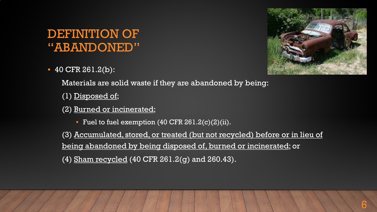#### DEFINITION OF "ABANDONED"

• 40 CFR 261.2(b):



Materials are solid waste if they are abandoned by being:

- (1) Disposed of;
- (2) Burned or incinerated;
	- Fuel to fuel exemption (40 CFR 261.2(c)(2)(ii).

(3) Accumulated, stored, or treated (but not recycled) before or in lieu of being abandoned by being disposed of, burned or incinerated; or (4) Sham recycled (40 CFR 261.2(g) and 260.43).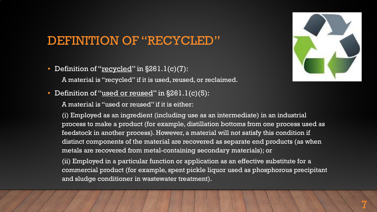#### DEFINITION OF "RECYCLED"

- Definition of " $recycled" in  $\S 261.1(c)(7)$ :$ 
	- A material is "recycled" if it is used, reused, or reclaimed.
- Definition of "used or reused" in §261.1(c)(5):
	- A material is "used or reused" if it is either:



(i) Employed as an ingredient (including use as an intermediate) in an industrial process to make a product (for example, distillation bottoms from one process used as feedstock in another process). However, a material will not satisfy this condition if distinct components of the material are recovered as separate end products (as when metals are recovered from metal-containing secondary materials); or

(ii) Employed in a particular function or application as an effective substitute for a commercial product (for example, spent pickle liquor used as phosphorous precipitant and sludge conditioner in wastewater treatment).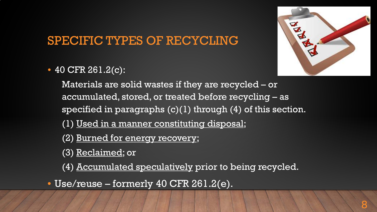## SPECIFIC TYPES OF RECYCLING

• 40 CFR 261.2(c):



Materials are solid wastes if they are recycled – or accumulated, stored, or treated before recycling – as specified in paragraphs (c)(1) through (4) of this section.

(1) Used in a manner constituting disposal;

(2) Burned for energy recovery;

(3) Reclaimed; or

(4) Accumulated speculatively prior to being recycled.

• Use/reuse – formerly 40 CFR 261.2(e).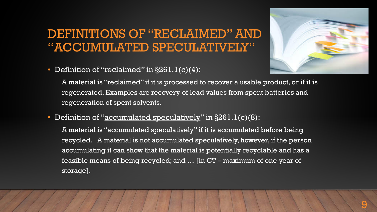#### DEFINITIONS OF "RECLAIMED" AND "ACCUMULATED SPECULATIVELY"



• Definition of "reclaimed" in  $\S 261.1(c)(4)$ :

A material is "reclaimed" if it is processed to recover a usable product, or if it is regenerated. Examples are recovery of lead values from spent batteries and regeneration of spent solvents.

• Definition of "accumulated speculatively" in §261.1(c)(8):

A material is "accumulated speculatively" if it is accumulated before being recycled. A material is not accumulated speculatively, however, if the person accumulating it can show that the material is potentially recyclable and has a feasible means of being recycled; and … [in CT – maximum of one year of storage].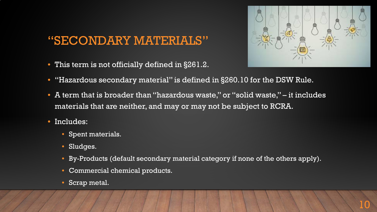#### "SECONDARY MATERIALS"

• This term is not officially defined in §261.2.



- "Hazardous secondary material" is defined in §260.10 for the DSW Rule.
- A term that is broader than "hazardous waste," or "solid waste," it includes materials that are neither, and may or may not be subject to RCRA.
- Includes:
	- Spent materials.
	- Sludges.
	- By-Products (default secondary material category if none of the others apply).
	- Commercial chemical products.
	- Scrap metal.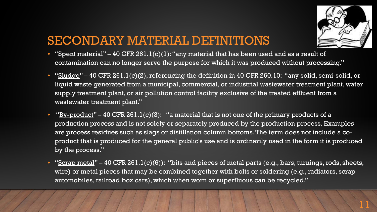

11

#### SECONDARY MATERIAL DEFINITIONS

- "Spent material" 40 CFR 261.1(c)(1): "any material that has been used and as a result of contamination can no longer serve the purpose for which it was produced without processing."
- "Sludge" 40 CFR 261.1(c)(2), referencing the definition in 40 CFR 260.10: "any solid, semi-solid, or liquid waste generated from a municipal, commercial, or industrial wastewater treatment plant, water supply treatment plant, or air pollution control facility exclusive of the treated effluent from a wastewater treatment plant."
- "By-product" 40 CFR 261.1(c)(3): "a material that is not one of the primary products of a production process and is not solely or separately produced by the production process. Examples are process residues such as slags or distillation column bottoms. The term does not include a coproduct that is produced for the general public's use and is ordinarily used in the form it is produced by the process."
- "Scrap metal" 40 CFR 261.1(c)(6)): "bits and pieces of metal parts (e.g., bars, turnings, rods, sheets, wire) or metal pieces that may be combined together with bolts or soldering (e.g., radiators, scrap automobiles, railroad box cars), which when worn or superfluous can be recycled."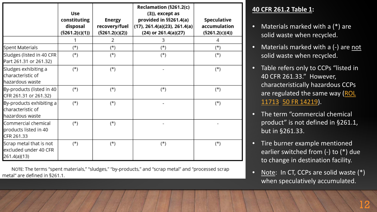|                                                                  | Use<br>constituting<br>disposal<br>(§261.2(c)(1)) | Energy<br>recovery/fuel<br>$(\$261.2(c)(2))$ | Reclamation (§261.2(c)<br>$(3)$ ), except as<br>provided in §§261.4(a)<br>$(17)$ , 261.4(a)(23), 261.4(a)<br>(24) or 261.4(a)(27) | Speculative<br>accumulation<br>(§261.2(c)(4)) |
|------------------------------------------------------------------|---------------------------------------------------|----------------------------------------------|-----------------------------------------------------------------------------------------------------------------------------------|-----------------------------------------------|
|                                                                  |                                                   | 2                                            | 3                                                                                                                                 | 4                                             |
| Spent Materials                                                  | (*)                                               | (*)                                          | (*)                                                                                                                               | $(\star)$                                     |
| Sludges (listed in 40 CFR<br>Part 261.31 or 261.32)              | $(\star)$                                         | (*)                                          | $(\star)$                                                                                                                         | $(*)$                                         |
| Sludges exhibiting a<br>characteristic of<br>hazardous waste     | $(*)$                                             | $(\star)$                                    |                                                                                                                                   | $(*)$                                         |
| By-products (listed in 40<br>CFR 261.31 or 261.32)               | $(*)$                                             | $(\star)$                                    | $(\star)$                                                                                                                         | $(*)$                                         |
| By-products exhibiting a<br>characteristic of<br>hazardous waste | $(*)$                                             | $(\star)$                                    |                                                                                                                                   | $(*)$                                         |
| Commercial chemical<br>products listed in 40<br>CFR 261.33       | $(\star)$                                         | $(\star)$                                    |                                                                                                                                   |                                               |
| Scrap metal that is not<br>excluded under 40 CFR<br>261.4(a)(13) | $(\star)$                                         | (*)                                          | (*)                                                                                                                               | $(*)$                                         |

NOTE: The terms "spent materials," "sludges," "by-products," and "scrap metal" and "processed scrap metal" are defined in §261.1.

#### **40 CFR 261.2 Table 1:**

- Materials marked with a  $(*)$  are solid waste when recycled.
- Materials marked with a (-) are not solid waste when recycled.
- Table refers only to CCPs "listed in 40 CFR 261.33." However, characteristically hazardous CCPs [are regulated the same way \(ROL](https://rcrapublic.epa.gov/files/11713.pdf) 11713, [50 FR 14219](https://archive.epa.gov/epawaste/hazard/web/pdf/50fr1421604111985.pdf)).
- The term "commercial chemical product" is not defined in §261.1, but in §261.33.
- Tire burner example mentioned earlier switched from (-) to (\*) due to change in destination facility.
- Note: In CT, CCPs are solid waste (\*) when speculatively accumulated.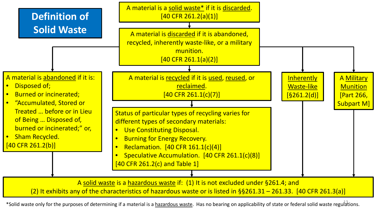

(2) It exhibits any of the characteristics of hazardous waste or is listed in  $\S$ §261.31 – 261.33. [40 CFR 261.3(a)]

\*Solid waste only for the purposes of determining if a material is a hazardous waste. Has no bearing on applicability of state or federal solid waste regulations.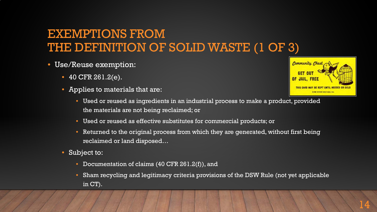#### EXEMPTIONS FROM THE DEFINITION OF SOLID WASTE (1 OF 3)

- Use/Reuse exemption:
	- 40 CFR 261.2(e).
	- Applies to materials that are:
		- Used or reused as ingredients in an industrial process to make a product, provided the materials are not being reclaimed; or
		- Used or reused as effective substitutes for commercial products; or
		- Returned to the original process from which they are generated, without first being reclaimed or land disposed…
	- Subject to:
		- Documentation of claims (40 CFR 261.2(f)), and
		- Sham recycling and legitimacy criteria provisions of the DSW Rule (not yet applicable in CT).

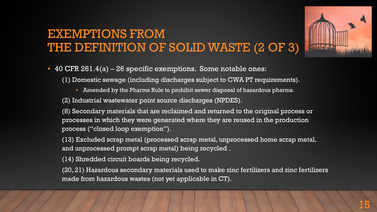### EXEMPTIONS FROM THE DEFINITION OF SOLID WASTE (2 OF 3)

• 40 CFR 261.4(a) – 26 specific exemptions. Some notable ones:

(1) Domestic sewage (including discharges subject to CWA PT requirements).

• Amended by the Pharms Rule to prohibit sewer disposal of hazardous pharms.

(2) Industrial wastewater point source discharges (NPDES).

(8) Secondary materials that are reclaimed and returned to the original process or processes in which they were generated where they are reused in the production process ("closed loop exemption").

(13) Excluded scrap metal (processed scrap metal, unprocessed home scrap metal, and unprocessed prompt scrap metal) being recycled .

(14) Shredded circuit boards being recycled.

(20, 21) Hazardous secondary materials used to make zinc fertilizers and zinc fertilizers made from hazardous wastes (not yet applicable in CT).

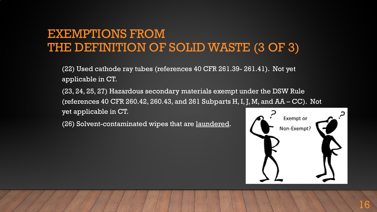#### EXEMPTIONS FROM THE DEFINITION OF SOLID WASTE (3 OF 3)

(22) Used cathode ray tubes (references 40 CFR 261.39- 261.41). Not yet applicable in CT.

(23, 24, 25, 27) Hazardous secondary materials exempt under the DSW Rule (references 40 CFR 260.42, 260.43, and 261 Subparts H, I, J, M, and AA – CC). Not yet applicable in CT.

(26) Solvent-contaminated wipes that are laundered.

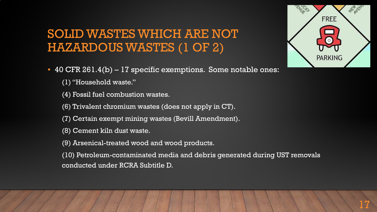#### SOLID WASTES WHICH ARE NOT HAZARDOUS WASTES (1 OF 2)

- 40 CFR 261.4(b) 17 specific exemptions. Some notable ones:
	- (1) "Household waste."
	- (4) Fossil fuel combustion wastes.
	- (6) Trivalent chromium wastes (does not apply in CT).
	- (7) Certain exempt mining wastes (Bevill Amendment).
	- (8) Cement kiln dust waste.
	- (9) Arsenical-treated wood and wood products.

(10) Petroleum-contaminated media and debris generated during UST removals conducted under RCRA Subtitle D.

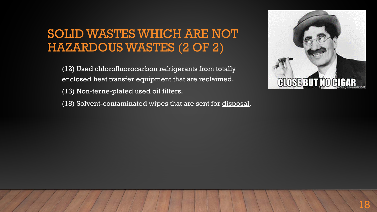#### SOLID WASTES WHICH ARE NOT HAZARDOUS WASTES (2 OF 2)

(12) Used chlorofluorocarbon refrigerants from totally enclosed heat transfer equipment that are reclaimed.

- (13) Non-terne-plated used oil filters.
- (18) Solvent-contaminated wipes that are sent for disposal.

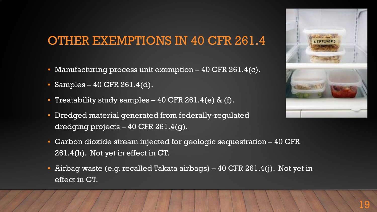#### OTHER EXEMPTIONS IN 40 CFR 261.4

- Manufacturing process unit exemption 40 CFR 261.4(c).
- Samples 40 CFR 261.4(d).
- Treatability study samples 40 CFR 261.4(e) & (f).
- Dredged material generated from federally-regulated dredging projects – 40 CFR 261.4(g).



- Carbon dioxide stream injected for geologic sequestration 40 CFR 261.4(h). Not yet in effect in CT.
- Airbag waste (e.g. recalled Takata airbags) 40 CFR 261.4(j). Not yet in effect in CT.

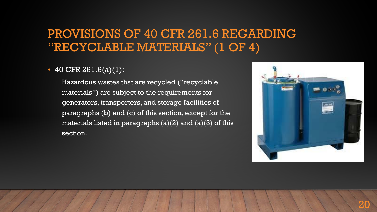#### PROVISIONS OF 40 CFR 261.6 REGARDING "RECYCLABLE MATERIALS" (1 OF 4)

#### • 40 CFR 261.6(a)(1):

Hazardous wastes that are recycled ("recyclable materials") are subject to the requirements for generators, transporters, and storage facilities of paragraphs (b) and (c) of this section, except for the materials listed in paragraphs  $(a)(2)$  and  $(a)(3)$  of this section.

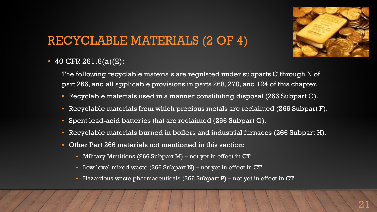

### RECYCLABLE MATERIALS (2 OF 4)

• 40 CFR 261.6(a)(2):

The following recyclable materials are regulated under subparts C through N of part 266, and all applicable provisions in parts 268, 270, and 124 of this chapter.

- Recyclable materials used in a manner constituting disposal (266 Subpart C).
- Recyclable materials from which precious metals are reclaimed (266 Subpart F).
- Spent lead-acid batteries that are reclaimed (266 Subpart G).
- Recyclable materials burned in boilers and industrial furnaces (266 Subpart H).
- Other Part 266 materials not mentioned in this section:
	- Military Munitions (266 Subpart M) not yet in effect in CT.
	- Low level mixed waste (266 Subpart N) not yet in effect in CT.
	- Hazardous waste pharmaceuticals (266 Subpart P) not yet in effect in  $CT$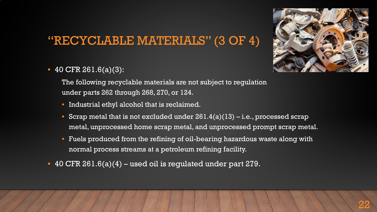#### "RECYCLABLE MATERIALS" (3 OF 4)



• 40 CFR 261.6(a)(3):

The following recyclable materials are not subject to regulation under parts 262 through 268, 270, or 124.

- Industrial ethyl alcohol that is reclaimed.
- Scrap metal that is not excluded under  $261.4(a)(13) i.e.,$  processed scrap metal, unprocessed home scrap metal, and unprocessed prompt scrap metal.
- Fuels produced from the refining of oil-bearing hazardous waste along with normal process streams at a petroleum refining facility.
- 40 CFR 261.6(a)(4) used oil is regulated under part 279.

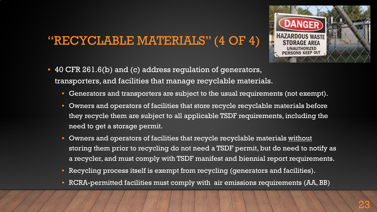#### "RECYCLABLE MATERIALS" (4 OF 4)



- 40 CFR 261.6(b) and (c) address regulation of generators, transporters, and facilities that manage recyclable materials.
	- Generators and transporters are subject to the usual requirements (not exempt).
	- Owners and operators of facilities that store recycle recyclable materials before they recycle them are subject to all applicable TSDF requirements, including the need to get a storage permit.
	- Owners and operators of facilities that recycle recyclable materials without storing them prior to recycling do not need a TSDF permit, but do need to notify as a recycler, and must comply with TSDF manifest and biennial report requirements.
	- Recycling process itself is exempt from recycling (generators and facilities).
	- RCRA-permitted facilities must comply with air emissions requirements (AA, BB)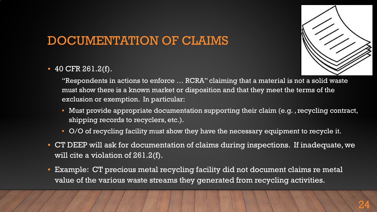# DOCUMENTATION OF CLAIMS

• 40 CFR 261.2(f).

"Respondents in actions to enforce … RCRA" claiming that a material is not a solid waste must show there is a known market or disposition and that they meet the terms of the exclusion or exemption. In particular:

- Must provide appropriate documentation supporting their claim (e.g. , recycling contract, shipping records to recyclers, etc.).
- O/O of recycling facility must show they have the necessary equipment to recycle it.
- CT DEEP will ask for documentation of claims during inspections. If inadequate, we will cite a violation of 261.2(f).
- Example: CT precious metal recycling facility did not document claims re metal value of the various waste streams they generated from recycling activities.

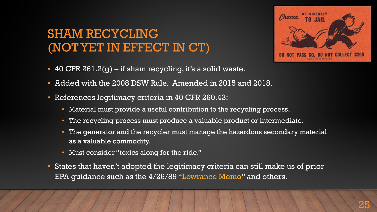### SHAM RECYCLING (NOT YET IN EFFECT IN CT)



- 40 CFR  $261.2(g)$  if sham recycling, it's a solid waste.
- Added with the 2008 DSW Rule. Amended in 2015 and 2018.
- References legitimacy criteria in 40 CFR 260.43:
	- Material must provide a useful contribution to the recycling process.
	- The recycling process must produce a valuable product or intermediate.
	- The generator and the recycler must manage the hazardous secondary material as a valuable commodity.
	- Must consider "toxics along for the ride."
- States that haven't adopted the legitimacy criteria can still make us of prior EPA guidance such as the 4/26/89 "[Lowrance Memo"](https://rcrapublic.epa.gov/files/11426.pdf) and others.

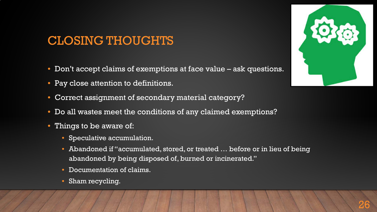### CLOSING THOUGHTS

- Don't accept claims of exemptions at face value ask questions.
- Pay close attention to definitions.
- Correct assignment of secondary material category?
- Do all wastes meet the conditions of any claimed exemptions?
- Things to be aware of:
	- Speculative accumulation.
	- Abandoned if "accumulated, stored, or treated … before or in lieu of being abandoned by being disposed of, burned or incinerated."
	- Documentation of claims.
	- Sham recycling.

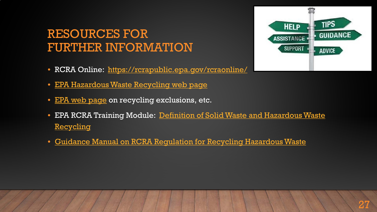#### RESOURCES FOR FURTHER INFORMATION

- RCRA Online: <https://rcrapublic.epa.gov/rcraonline/>
- [EPA Hazardous Waste Recycling web page](https://www.epa.gov/hw/hazardous-waste-recycling)
- [EPA web page](https://www.epa.gov/hw/regulatory-exclusions-and-alternative-standards-recycling-materials-solid-wastes-and-hazardous) on recycling exclusions, etc.
- [EPA RCRA Training Module: Definition of Solid Waste and Hazardous Waste](https://www.epa.gov/rcra/resource-conservation-and-recovery-act-rcra-training-module-definition-solid-waste-and) **Recycling**
- [Guidance Manual on RCRA Regulation for Recycling Hazardous Waste](https://archive.epa.gov/epawaste/hazard/web/pdf/rec-guide.pdf)